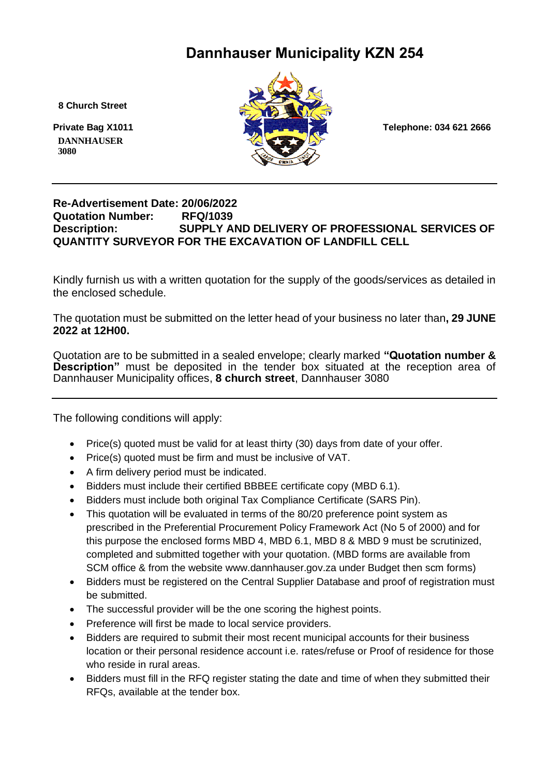# **Dannhauser Municipality KZN 254**

 **8 Church Street**

 **DANNHAUSER 3080** 



#### **Re-Advertisement Date: 20/06/2022 Quotation Number: RFQ/1039 Description: SUPPLY AND DELIVERY OF PROFESSIONAL SERVICES OF QUANTITY SURVEYOR FOR THE EXCAVATION OF LANDFILL CELL**

Kindly furnish us with a written quotation for the supply of the goods/services as detailed in the enclosed schedule.

The quotation must be submitted on the letter head of your business no later than**, 29 JUNE 2022 at 12H00.**

Quotation are to be submitted in a sealed envelope; clearly marked **"Quotation number & Description"** must be deposited in the tender box situated at the reception area of Dannhauser Municipality offices, **8 church street**, Dannhauser 3080

The following conditions will apply:

- Price(s) quoted must be valid for at least thirty (30) days from date of your offer.
- Price(s) quoted must be firm and must be inclusive of VAT.
- A firm delivery period must be indicated.
- Bidders must include their certified BBBEE certificate copy (MBD 6.1).
- Bidders must include both original Tax Compliance Certificate (SARS Pin).
- This quotation will be evaluated in terms of the 80/20 preference point system as prescribed in the Preferential Procurement Policy Framework Act (No 5 of 2000) and for this purpose the enclosed forms MBD 4, MBD 6.1, MBD 8 & MBD 9 must be scrutinized, completed and submitted together with your quotation. (MBD forms are available from SCM office & from the website www.dannhauser.gov.za under Budget then scm forms)
- Bidders must be registered on the Central Supplier Database and proof of registration must be submitted.
- The successful provider will be the one scoring the highest points.
- Preference will first be made to local service providers.
- Bidders are required to submit their most recent municipal accounts for their business location or their personal residence account i.e. rates/refuse or Proof of residence for those who reside in rural areas.
- Bidders must fill in the RFQ register stating the date and time of when they submitted their RFQs, available at the tender box.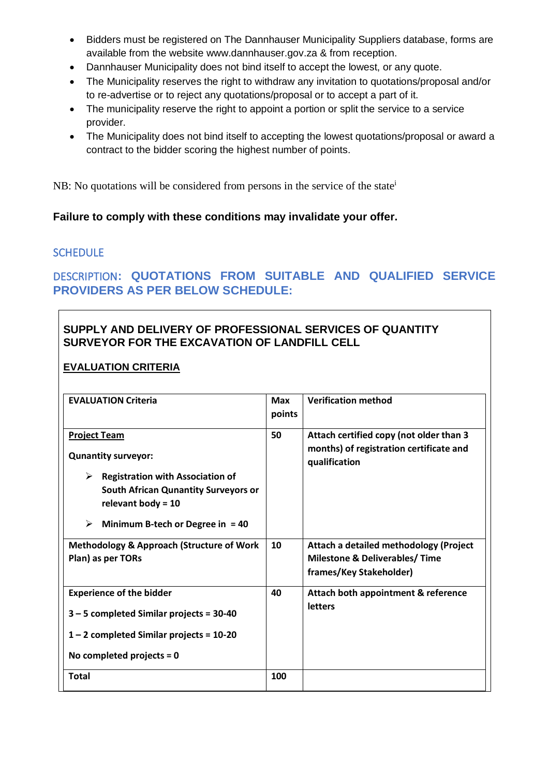- Bidders must be registered on The Dannhauser Municipality Suppliers database, forms are available from the website www.dannhauser.gov.za & from reception.
- Dannhauser Municipality does not bind itself to accept the lowest, or any quote.
- The Municipality reserves the right to withdraw any invitation to quotations/proposal and/or to re-advertise or to reject any quotations/proposal or to accept a part of it.
- The municipality reserve the right to appoint a portion or split the service to a service provider.
- The Municipality does not bind itself to accepting the lowest quotations/proposal or award a contract to the bidder scoring the highest number of points.

NB: No quotations will be considered from persons in the service of the state<sup>i</sup>

### **Failure to comply with these conditions may invalidate your offer.**

### **SCHEDULE**

# DESCRIPTION**: QUOTATIONS FROM SUITABLE AND QUALIFIED SERVICE PROVIDERS AS PER BELOW SCHEDULE:**

### **SUPPLY AND DELIVERY OF PROFESSIONAL SERVICES OF QUANTITY SURVEYOR FOR THE EXCAVATION OF LANDFILL CELL**

### **EVALUATION CRITERIA**

| <b>EVALUATION Criteria</b>                                                                                                                                                                                          | <b>Max</b><br>points | <b>Verification method</b>                                                                                     |
|---------------------------------------------------------------------------------------------------------------------------------------------------------------------------------------------------------------------|----------------------|----------------------------------------------------------------------------------------------------------------|
| <b>Project Team</b><br><b>Qunantity surveyor:</b><br>➤<br><b>Registration with Association of</b><br><b>South African Qunantity Surveyors or</b><br>relevant body = $10$<br>➤<br>Minimum B-tech or Degree in $= 40$ | 50                   | Attach certified copy (not older than 3<br>months) of registration certificate and<br>qualification            |
| <b>Methodology &amp; Approach (Structure of Work</b><br>Plan) as per TORs                                                                                                                                           | 10                   | Attach a detailed methodology (Project<br><b>Milestone &amp; Deliverables/ Time</b><br>frames/Key Stakeholder) |
| <b>Experience of the bidder</b><br>$3 - 5$ completed Similar projects = 30-40<br>$1 - 2$ completed Similar projects = 10-20<br>No completed projects = $0$                                                          | 40                   | Attach both appointment & reference<br><b>letters</b>                                                          |
| <b>Total</b>                                                                                                                                                                                                        | 100                  |                                                                                                                |